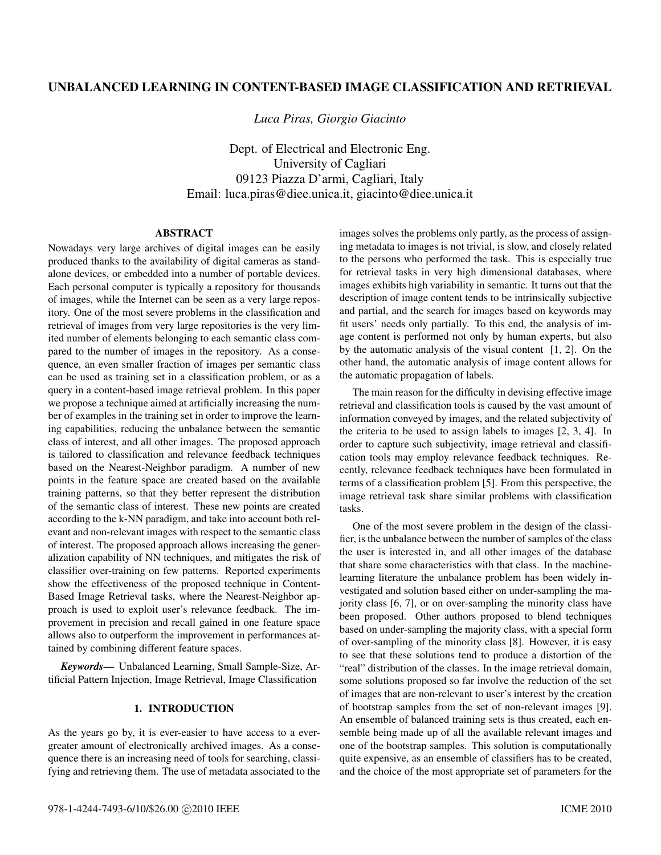# UNBALANCED LEARNING IN CONTENT-BASED IMAGE CLASSIFICATION AND RETRIEVAL

*Luca Piras, Giorgio Giacinto*

Dept. of Electrical and Electronic Eng. University of Cagliari 09123 Piazza D'armi, Cagliari, Italy Email: luca.piras@diee.unica.it, giacinto@diee.unica.it

### ABSTRACT

Nowadays very large archives of digital images can be easily produced thanks to the availability of digital cameras as standalone devices, or embedded into a number of portable devices. Each personal computer is typically a repository for thousands of images, while the Internet can be seen as a very large repository. One of the most severe problems in the classification and retrieval of images from very large repositories is the very limited number of elements belonging to each semantic class compared to the number of images in the repository. As a consequence, an even smaller fraction of images per semantic class can be used as training set in a classification problem, or as a query in a content-based image retrieval problem. In this paper we propose a technique aimed at artificially increasing the number of examples in the training set in order to improve the learning capabilities, reducing the unbalance between the semantic class of interest, and all other images. The proposed approach is tailored to classification and relevance feedback techniques based on the Nearest-Neighbor paradigm. A number of new points in the feature space are created based on the available training patterns, so that they better represent the distribution of the semantic class of interest. These new points are created according to the k-NN paradigm, and take into account both relevant and non-relevant images with respect to the semantic class of interest. The proposed approach allows increasing the generalization capability of NN techniques, and mitigates the risk of classifier over-training on few patterns. Reported experiments show the effectiveness of the proposed technique in Content-Based Image Retrieval tasks, where the Nearest-Neighbor approach is used to exploit user's relevance feedback. The improvement in precision and recall gained in one feature space allows also to outperform the improvement in performances attained by combining different feature spaces.

*Keywords*— Unbalanced Learning, Small Sample-Size, Artificial Pattern Injection, Image Retrieval, Image Classification

## 1. INTRODUCTION

As the years go by, it is ever-easier to have access to a evergreater amount of electronically archived images. As a consequence there is an increasing need of tools for searching, classifying and retrieving them. The use of metadata associated to the images solves the problems only partly, as the process of assigning metadata to images is not trivial, is slow, and closely related to the persons who performed the task. This is especially true for retrieval tasks in very high dimensional databases, where images exhibits high variability in semantic. It turns out that the description of image content tends to be intrinsically subjective and partial, and the search for images based on keywords may fit users' needs only partially. To this end, the analysis of image content is performed not only by human experts, but also by the automatic analysis of the visual content [1, 2]. On the other hand, the automatic analysis of image content allows for the automatic propagation of labels.

The main reason for the difficulty in devising effective image retrieval and classification tools is caused by the vast amount of information conveyed by images, and the related subjectivity of the criteria to be used to assign labels to images [2, 3, 4]. In order to capture such subjectivity, image retrieval and classification tools may employ relevance feedback techniques. Recently, relevance feedback techniques have been formulated in terms of a classification problem [5]. From this perspective, the image retrieval task share similar problems with classification tasks.

One of the most severe problem in the design of the classifier, is the unbalance between the number of samples of the class the user is interested in, and all other images of the database that share some characteristics with that class. In the machinelearning literature the unbalance problem has been widely investigated and solution based either on under-sampling the majority class [6, 7], or on over-sampling the minority class have been proposed. Other authors proposed to blend techniques based on under-sampling the majority class, with a special form of over-sampling of the minority class [8]. However, it is easy to see that these solutions tend to produce a distortion of the "real" distribution of the classes. In the image retrieval domain, some solutions proposed so far involve the reduction of the set of images that are non-relevant to user's interest by the creation of bootstrap samples from the set of non-relevant images [9]. An ensemble of balanced training sets is thus created, each ensemble being made up of all the available relevant images and one of the bootstrap samples. This solution is computationally quite expensive, as an ensemble of classifiers has to be created, and the choice of the most appropriate set of parameters for the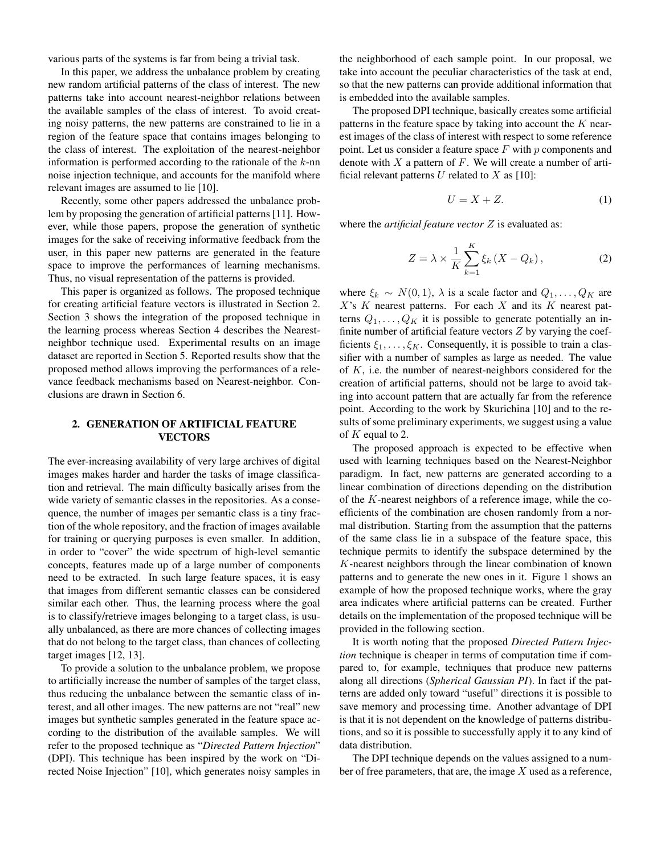various parts of the systems is far from being a trivial task.

In this paper, we address the unbalance problem by creating new random artificial patterns of the class of interest. The new patterns take into account nearest-neighbor relations between the available samples of the class of interest. To avoid creating noisy patterns, the new patterns are constrained to lie in a region of the feature space that contains images belonging to the class of interest. The exploitation of the nearest-neighbor information is performed according to the rationale of the  $k$ -nn noise injection technique, and accounts for the manifold where relevant images are assumed to lie [10].

Recently, some other papers addressed the unbalance problem by proposing the generation of artificial patterns [11]. However, while those papers, propose the generation of synthetic images for the sake of receiving informative feedback from the user, in this paper new patterns are generated in the feature space to improve the performances of learning mechanisms. Thus, no visual representation of the patterns is provided.

This paper is organized as follows. The proposed technique for creating artificial feature vectors is illustrated in Section 2. Section 3 shows the integration of the proposed technique in the learning process whereas Section 4 describes the Nearestneighbor technique used. Experimental results on an image dataset are reported in Section 5. Reported results show that the proposed method allows improving the performances of a relevance feedback mechanisms based on Nearest-neighbor. Conclusions are drawn in Section 6.

### 2. GENERATION OF ARTIFICIAL FEATURE VECTORS

The ever-increasing availability of very large archives of digital images makes harder and harder the tasks of image classification and retrieval. The main difficulty basically arises from the wide variety of semantic classes in the repositories. As a consequence, the number of images per semantic class is a tiny fraction of the whole repository, and the fraction of images available for training or querying purposes is even smaller. In addition, in order to "cover" the wide spectrum of high-level semantic concepts, features made up of a large number of components need to be extracted. In such large feature spaces, it is easy that images from different semantic classes can be considered similar each other. Thus, the learning process where the goal is to classify/retrieve images belonging to a target class, is usually unbalanced, as there are more chances of collecting images that do not belong to the target class, than chances of collecting target images [12, 13].

To provide a solution to the unbalance problem, we propose to artificially increase the number of samples of the target class, thus reducing the unbalance between the semantic class of interest, and all other images. The new patterns are not "real" new images but synthetic samples generated in the feature space according to the distribution of the available samples. We will refer to the proposed technique as "*Directed Pattern Injection*" (DPI). This technique has been inspired by the work on "Directed Noise Injection" [10], which generates noisy samples in the neighborhood of each sample point. In our proposal, we take into account the peculiar characteristics of the task at end, so that the new patterns can provide additional information that is embedded into the available samples.

The proposed DPI technique, basically creates some artificial patterns in the feature space by taking into account the  $K$  nearest images of the class of interest with respect to some reference point. Let us consider a feature space  $F$  with  $p$  components and denote with  $X$  a pattern of  $F$ . We will create a number of artificial relevant patterns  $U$  related to  $X$  as [10]:

$$
U = X + Z.\t\t(1)
$$

where the *artificial feature vector* Z is evaluated as:

$$
Z = \lambda \times \frac{1}{K} \sum_{k=1}^{K} \xi_k \left( X - Q_k \right),\tag{2}
$$

where  $\xi_k \sim N(0, 1)$ ,  $\lambda$  is a scale factor and  $Q_1, \ldots, Q_K$  are  $X$ 's  $K$  nearest patterns. For each  $X$  and its  $K$  nearest patterns  $Q_1, \ldots, Q_K$  it is possible to generate potentially an infinite number of artificial feature vectors  $Z$  by varying the coefficients  $\xi_1, \ldots, \xi_K$ . Consequently, it is possible to train a classifier with a number of samples as large as needed. The value of K, i.e. the number of nearest-neighbors considered for the creation of artificial patterns, should not be large to avoid taking into account pattern that are actually far from the reference point. According to the work by Skurichina [10] and to the results of some preliminary experiments, we suggest using a value of K equal to 2.

The proposed approach is expected to be effective when used with learning techniques based on the Nearest-Neighbor paradigm. In fact, new patterns are generated according to a linear combination of directions depending on the distribution of the K-nearest neighbors of a reference image, while the coefficients of the combination are chosen randomly from a normal distribution. Starting from the assumption that the patterns of the same class lie in a subspace of the feature space, this technique permits to identify the subspace determined by the K-nearest neighbors through the linear combination of known patterns and to generate the new ones in it. Figure 1 shows an example of how the proposed technique works, where the gray area indicates where artificial patterns can be created. Further details on the implementation of the proposed technique will be provided in the following section.

It is worth noting that the proposed *Directed Pattern Injection* technique is cheaper in terms of computation time if compared to, for example, techniques that produce new patterns along all directions (*Spherical Gaussian PI*). In fact if the patterns are added only toward "useful" directions it is possible to save memory and processing time. Another advantage of DPI is that it is not dependent on the knowledge of patterns distributions, and so it is possible to successfully apply it to any kind of data distribution.

The DPI technique depends on the values assigned to a number of free parameters, that are, the image  $X$  used as a reference,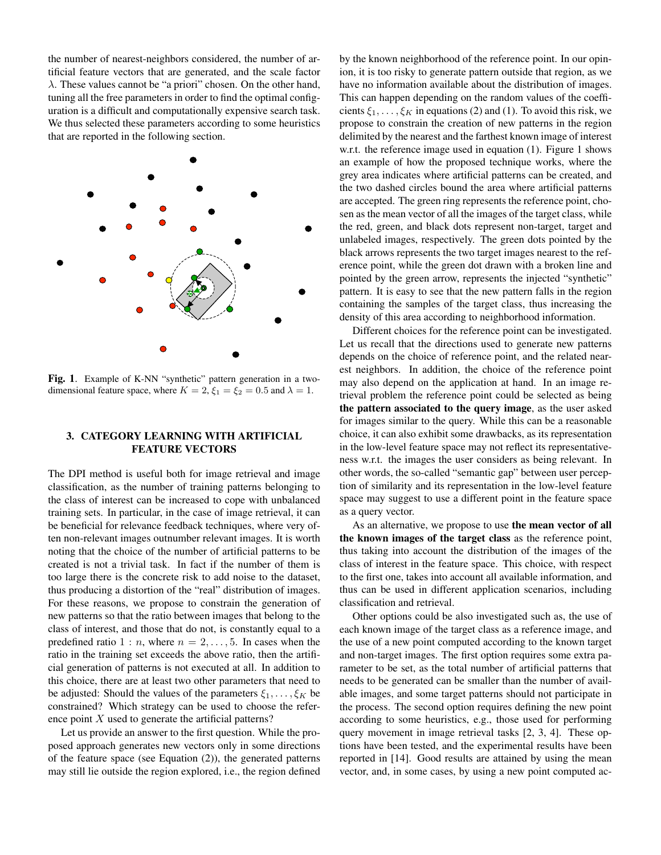the number of nearest-neighbors considered, the number of artificial feature vectors that are generated, and the scale factor  $\lambda$ . These values cannot be "a priori" chosen. On the other hand, tuning all the free parameters in order to find the optimal configuration is a difficult and computationally expensive search task. We thus selected these parameters according to some heuristics that are reported in the following section.



Fig. 1. Example of K-NN "synthetic" pattern generation in a twodimensional feature space, where  $K = 2$ ,  $\xi_1 = \xi_2 = 0.5$  and  $\lambda = 1$ .

## 3. CATEGORY LEARNING WITH ARTIFICIAL FEATURE VECTORS

The DPI method is useful both for image retrieval and image classification, as the number of training patterns belonging to the class of interest can be increased to cope with unbalanced training sets. In particular, in the case of image retrieval, it can be beneficial for relevance feedback techniques, where very often non-relevant images outnumber relevant images. It is worth noting that the choice of the number of artificial patterns to be created is not a trivial task. In fact if the number of them is too large there is the concrete risk to add noise to the dataset, thus producing a distortion of the "real" distribution of images. For these reasons, we propose to constrain the generation of new patterns so that the ratio between images that belong to the class of interest, and those that do not, is constantly equal to a predefined ratio  $1 : n$ , where  $n = 2, \ldots, 5$ . In cases when the ratio in the training set exceeds the above ratio, then the artificial generation of patterns is not executed at all. In addition to this choice, there are at least two other parameters that need to be adjusted: Should the values of the parameters  $\xi_1, \ldots, \xi_K$  be constrained? Which strategy can be used to choose the reference point  $X$  used to generate the artificial patterns?

Let us provide an answer to the first question. While the proposed approach generates new vectors only in some directions of the feature space (see Equation (2)), the generated patterns may still lie outside the region explored, i.e., the region defined by the known neighborhood of the reference point. In our opinion, it is too risky to generate pattern outside that region, as we have no information available about the distribution of images. This can happen depending on the random values of the coefficients  $\xi_1, \ldots, \xi_K$  in equations (2) and (1). To avoid this risk, we propose to constrain the creation of new patterns in the region delimited by the nearest and the farthest known image of interest w.r.t. the reference image used in equation (1). Figure 1 shows an example of how the proposed technique works, where the grey area indicates where artificial patterns can be created, and the two dashed circles bound the area where artificial patterns are accepted. The green ring represents the reference point, chosen as the mean vector of all the images of the target class, while the red, green, and black dots represent non-target, target and unlabeled images, respectively. The green dots pointed by the black arrows represents the two target images nearest to the reference point, while the green dot drawn with a broken line and pointed by the green arrow, represents the injected "synthetic" pattern. It is easy to see that the new pattern falls in the region containing the samples of the target class, thus increasing the density of this area according to neighborhood information.

Different choices for the reference point can be investigated. Let us recall that the directions used to generate new patterns depends on the choice of reference point, and the related nearest neighbors. In addition, the choice of the reference point may also depend on the application at hand. In an image retrieval problem the reference point could be selected as being the pattern associated to the query image, as the user asked for images similar to the query. While this can be a reasonable choice, it can also exhibit some drawbacks, as its representation in the low-level feature space may not reflect its representativeness w.r.t. the images the user considers as being relevant. In other words, the so-called "semantic gap" between user perception of similarity and its representation in the low-level feature space may suggest to use a different point in the feature space as a query vector.

As an alternative, we propose to use the mean vector of all the known images of the target class as the reference point, thus taking into account the distribution of the images of the class of interest in the feature space. This choice, with respect to the first one, takes into account all available information, and thus can be used in different application scenarios, including classification and retrieval.

Other options could be also investigated such as, the use of each known image of the target class as a reference image, and the use of a new point computed according to the known target and non-target images. The first option requires some extra parameter to be set, as the total number of artificial patterns that needs to be generated can be smaller than the number of available images, and some target patterns should not participate in the process. The second option requires defining the new point according to some heuristics, e.g., those used for performing query movement in image retrieval tasks [2, 3, 4]. These options have been tested, and the experimental results have been reported in [14]. Good results are attained by using the mean vector, and, in some cases, by using a new point computed ac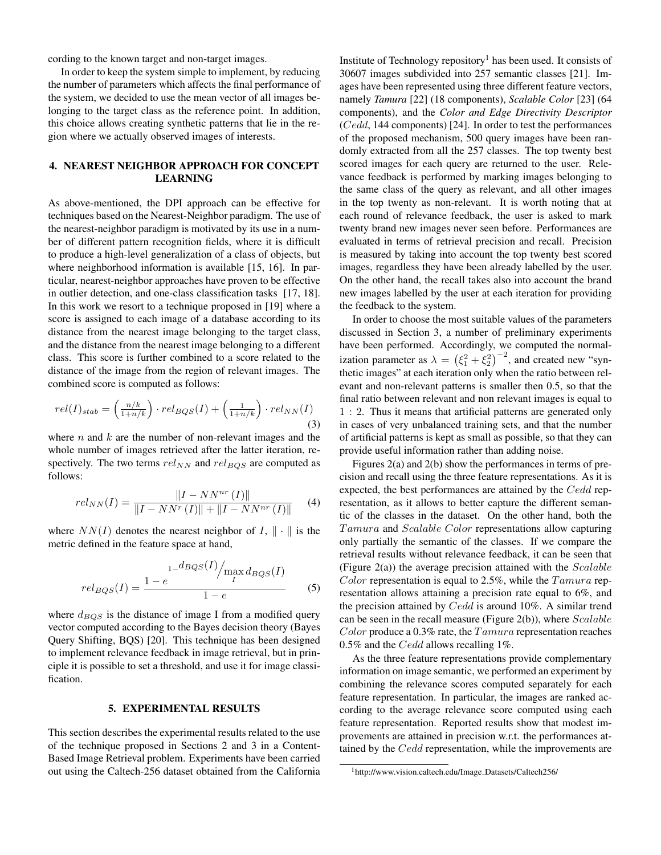cording to the known target and non-target images.

In order to keep the system simple to implement, by reducing the number of parameters which affects the final performance of the system, we decided to use the mean vector of all images belonging to the target class as the reference point. In addition, this choice allows creating synthetic patterns that lie in the region where we actually observed images of interests.

# 4. NEAREST NEIGHBOR APPROACH FOR CONCEPT LEARNING

As above-mentioned, the DPI approach can be effective for techniques based on the Nearest-Neighbor paradigm. The use of the nearest-neighbor paradigm is motivated by its use in a number of different pattern recognition fields, where it is difficult to produce a high-level generalization of a class of objects, but where neighborhood information is available [15, 16]. In particular, nearest-neighbor approaches have proven to be effective in outlier detection, and one-class classification tasks [17, 18]. In this work we resort to a technique proposed in [19] where a score is assigned to each image of a database according to its distance from the nearest image belonging to the target class, and the distance from the nearest image belonging to a different class. This score is further combined to a score related to the distance of the image from the region of relevant images. The combined score is computed as follows:

$$
rel(I)_{stab} = \left(\frac{n/k}{1+n/k}\right) \cdot rel_{BQS}(I) + \left(\frac{1}{1+n/k}\right) \cdot rel_{NN}(I)
$$
\n(3)

where  $n$  and  $k$  are the number of non-relevant images and the whole number of images retrieved after the latter iteration, respectively. The two terms  $rel_{NN}$  and  $rel_{BQS}$  are computed as follows:

$$
rel_{NN}(I) = \frac{||I - NN^{nr}(I)||}{||I - NN^{r}(I)|| + ||I - NN^{nr}(I)||}
$$
 (4)

where  $NN(I)$  denotes the nearest neighbor of I,  $\|\cdot\|$  is the metric defined in the feature space at hand,

$$
rel_{BQS}(I) = \frac{1 - e^{-d_{BQS}(I)/\max_{I} d_{BQS}(I)}}{1 - e}
$$
 (5)

where  $d_{BOS}$  is the distance of image I from a modified query vector computed according to the Bayes decision theory (Bayes Query Shifting, BQS) [20]. This technique has been designed to implement relevance feedback in image retrieval, but in principle it is possible to set a threshold, and use it for image classification.

#### 5. EXPERIMENTAL RESULTS

This section describes the experimental results related to the use of the technique proposed in Sections 2 and 3 in a Content-Based Image Retrieval problem. Experiments have been carried out using the Caltech-256 dataset obtained from the California Institute of Technology repository<sup>1</sup> has been used. It consists of 30607 images subdivided into 257 semantic classes [21]. Images have been represented using three different feature vectors, namely *Tamura* [22] (18 components), *Scalable Color* [23] (64 components), and the *Color and Edge Directivity Descriptor* (Cedd, 144 components) [24]. In order to test the performances of the proposed mechanism, 500 query images have been randomly extracted from all the 257 classes. The top twenty best scored images for each query are returned to the user. Relevance feedback is performed by marking images belonging to the same class of the query as relevant, and all other images in the top twenty as non-relevant. It is worth noting that at each round of relevance feedback, the user is asked to mark twenty brand new images never seen before. Performances are evaluated in terms of retrieval precision and recall. Precision is measured by taking into account the top twenty best scored images, regardless they have been already labelled by the user. On the other hand, the recall takes also into account the brand new images labelled by the user at each iteration for providing the feedback to the system.

In order to choose the most suitable values of the parameters discussed in Section 3, a number of preliminary experiments have been performed. Accordingly, we computed the normalization parameter as  $\lambda = (\xi_1^2 + \xi_2^2)^{-2}$ , and created new "synthetic images" at each iteration only when the ratio between relevant and non-relevant patterns is smaller then 0.5, so that the final ratio between relevant and non relevant images is equal to 1 : 2. Thus it means that artificial patterns are generated only in cases of very unbalanced training sets, and that the number of artificial patterns is kept as small as possible, so that they can provide useful information rather than adding noise.

Figures 2(a) and 2(b) show the performances in terms of precision and recall using the three feature representations. As it is expected, the best performances are attained by the Cedd representation, as it allows to better capture the different semantic of the classes in the dataset. On the other hand, both the Tamura and Scalable Color representations allow capturing only partially the semantic of the classes. If we compare the retrieval results without relevance feedback, it can be seen that (Figure 2(a)) the average precision attained with the  $Scalable$ Color representation is equal to 2.5%, while the  $Tamura$  representation allows attaining a precision rate equal to 6%, and the precision attained by  $Cedd$  is around 10%. A similar trend can be seen in the recall measure (Figure 2(b)), where  $Scalable$ Color produce a 0.3% rate, the  $Tamura$  representation reaches 0.5% and the Cedd allows recalling 1%.

As the three feature representations provide complementary information on image semantic, we performed an experiment by combining the relevance scores computed separately for each feature representation. In particular, the images are ranked according to the average relevance score computed using each feature representation. Reported results show that modest improvements are attained in precision w.r.t. the performances attained by the *Cedd* representation, while the improvements are

<sup>1</sup>http://www.vision.caltech.edu/Image Datasets/Caltech256/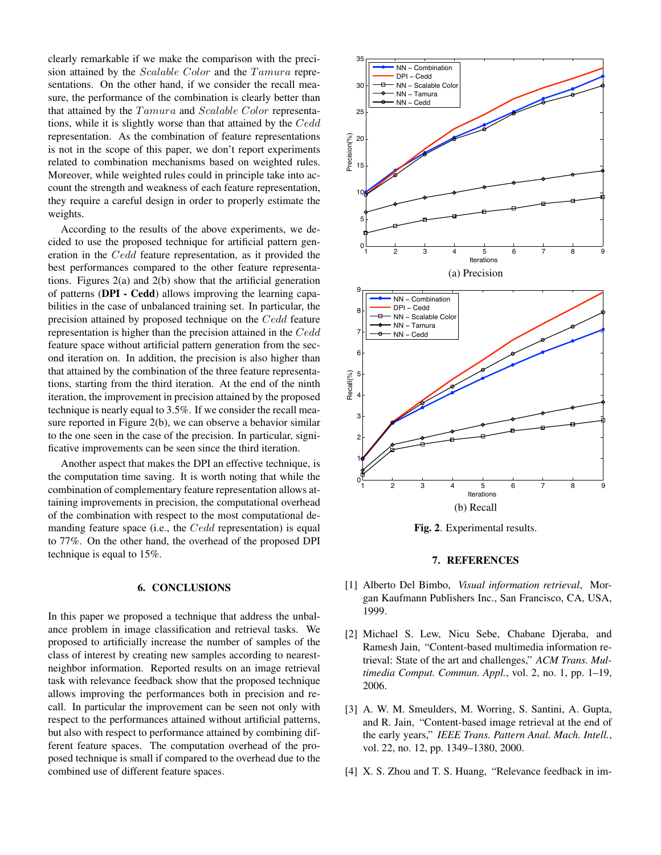clearly remarkable if we make the comparison with the precision attained by the  $Scalable Color$  and the  $Tamura$  representations. On the other hand, if we consider the recall measure, the performance of the combination is clearly better than that attained by the  $Tamura$  and  $Scalable Color$  representations, while it is slightly worse than that attained by the Cedd representation. As the combination of feature representations is not in the scope of this paper, we don't report experiments related to combination mechanisms based on weighted rules. Moreover, while weighted rules could in principle take into account the strength and weakness of each feature representation, they require a careful design in order to properly estimate the weights.

According to the results of the above experiments, we decided to use the proposed technique for artificial pattern generation in the Cedd feature representation, as it provided the best performances compared to the other feature representations. Figures 2(a) and 2(b) show that the artificial generation of patterns (DPI - Cedd) allows improving the learning capabilities in the case of unbalanced training set. In particular, the precision attained by proposed technique on the Cedd feature representation is higher than the precision attained in the  $Cedd$ feature space without artificial pattern generation from the second iteration on. In addition, the precision is also higher than that attained by the combination of the three feature representations, starting from the third iteration. At the end of the ninth iteration, the improvement in precision attained by the proposed technique is nearly equal to 3.5%. If we consider the recall measure reported in Figure 2(b), we can observe a behavior similar to the one seen in the case of the precision. In particular, significative improvements can be seen since the third iteration.

Another aspect that makes the DPI an effective technique, is the computation time saving. It is worth noting that while the combination of complementary feature representation allows attaining improvements in precision, the computational overhead of the combination with respect to the most computational demanding feature space (i.e., the  $Cedd$  representation) is equal to 77%. On the other hand, the overhead of the proposed DPI technique is equal to 15%.

## 6. CONCLUSIONS

In this paper we proposed a technique that address the unbalance problem in image classification and retrieval tasks. We proposed to artificially increase the number of samples of the class of interest by creating new samples according to nearestneighbor information. Reported results on an image retrieval task with relevance feedback show that the proposed technique allows improving the performances both in precision and recall. In particular the improvement can be seen not only with respect to the performances attained without artificial patterns, but also with respect to performance attained by combining different feature spaces. The computation overhead of the proposed technique is small if compared to the overhead due to the combined use of different feature spaces.



Fig. 2. Experimental results.

#### 7. REFERENCES

- [1] Alberto Del Bimbo, *Visual information retrieval*, Morgan Kaufmann Publishers Inc., San Francisco, CA, USA, 1999.
- [2] Michael S. Lew, Nicu Sebe, Chabane Djeraba, and Ramesh Jain, "Content-based multimedia information retrieval: State of the art and challenges," *ACM Trans. Multimedia Comput. Commun. Appl.*, vol. 2, no. 1, pp. 1–19, 2006.
- [3] A. W. M. Smeulders, M. Worring, S. Santini, A. Gupta, and R. Jain, "Content-based image retrieval at the end of the early years," *IEEE Trans. Pattern Anal. Mach. Intell.*, vol. 22, no. 12, pp. 1349–1380, 2000.
- [4] X. S. Zhou and T. S. Huang, "Relevance feedback in im-